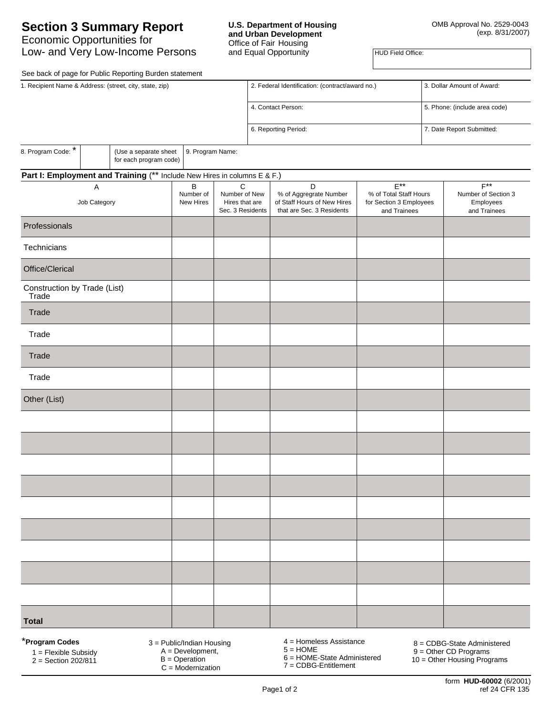### **U.S. Department of Housing and Urban Development**  Office of Fair Housing and Equal Opportunity

**HUD Field Office:** 

See back of page for Public Reporting Burden statement

|                                                                          |   | See back or page for Fublic Reporting Burden Statement |                                                     |                    |                                                                                    |                                                                   |                               |                                                  |                           |  |
|--------------------------------------------------------------------------|---|--------------------------------------------------------|-----------------------------------------------------|--------------------|------------------------------------------------------------------------------------|-------------------------------------------------------------------|-------------------------------|--------------------------------------------------|---------------------------|--|
| 1. Recipient Name & Address: (street, city, state, zip)                  |   |                                                        |                                                     |                    | 2. Federal Identification: (contract/award no.)                                    |                                                                   |                               | 3. Dollar Amount of Award:                       |                           |  |
|                                                                          |   |                                                        |                                                     | 4. Contact Person: |                                                                                    |                                                                   | 5. Phone: (include area code) |                                                  |                           |  |
|                                                                          |   |                                                        |                                                     |                    |                                                                                    | 6. Reporting Period:                                              |                               |                                                  | 7. Date Report Submitted: |  |
| 8. Program Code: *                                                       |   | (Use a separate sheet<br>for each program code)        | 9. Program Name:                                    |                    |                                                                                    |                                                                   |                               |                                                  |                           |  |
| Part I: Employment and Training (** Include New Hires in columns E & F.) |   |                                                        |                                                     |                    |                                                                                    |                                                                   |                               |                                                  |                           |  |
|                                                                          | Α |                                                        | $\sf B$                                             | C                  |                                                                                    | D                                                                 | $E^{**}$                      |                                                  | $F^{**}$                  |  |
| Job Category                                                             |   | Number of<br>New Hires                                 | Number of New<br>Hires that are<br>Sec. 3 Residents |                    | % of Aggregrate Number<br>of Staff Hours of New Hires<br>that are Sec. 3 Residents | % of Total Staff Hours<br>for Section 3 Employees<br>and Trainees |                               | Number of Section 3<br>Employees<br>and Trainees |                           |  |
| Professionals                                                            |   |                                                        |                                                     |                    |                                                                                    |                                                                   |                               |                                                  |                           |  |
| Technicians                                                              |   |                                                        |                                                     |                    |                                                                                    |                                                                   |                               |                                                  |                           |  |
| Office/Clerical                                                          |   |                                                        |                                                     |                    |                                                                                    |                                                                   |                               |                                                  |                           |  |
| Construction by Trade (List)<br>Trade                                    |   |                                                        |                                                     |                    |                                                                                    |                                                                   |                               |                                                  |                           |  |
| Trade                                                                    |   |                                                        |                                                     |                    |                                                                                    |                                                                   |                               |                                                  |                           |  |
| Trade                                                                    |   |                                                        |                                                     |                    |                                                                                    |                                                                   |                               |                                                  |                           |  |
| Trade                                                                    |   |                                                        |                                                     |                    |                                                                                    |                                                                   |                               |                                                  |                           |  |
| Trade                                                                    |   |                                                        |                                                     |                    |                                                                                    |                                                                   |                               |                                                  |                           |  |
| Other (List)                                                             |   |                                                        |                                                     |                    |                                                                                    |                                                                   |                               |                                                  |                           |  |
|                                                                          |   |                                                        |                                                     |                    |                                                                                    |                                                                   |                               |                                                  |                           |  |
|                                                                          |   |                                                        |                                                     |                    |                                                                                    |                                                                   |                               |                                                  |                           |  |
|                                                                          |   |                                                        |                                                     |                    |                                                                                    |                                                                   |                               |                                                  |                           |  |
|                                                                          |   |                                                        |                                                     |                    |                                                                                    |                                                                   |                               |                                                  |                           |  |
|                                                                          |   |                                                        |                                                     |                    |                                                                                    |                                                                   |                               |                                                  |                           |  |
|                                                                          |   |                                                        |                                                     |                    |                                                                                    |                                                                   |                               |                                                  |                           |  |
|                                                                          |   |                                                        |                                                     |                    |                                                                                    |                                                                   |                               |                                                  |                           |  |
|                                                                          |   |                                                        |                                                     |                    |                                                                                    |                                                                   |                               |                                                  |                           |  |
|                                                                          |   |                                                        |                                                     |                    |                                                                                    |                                                                   |                               |                                                  |                           |  |
| <b>Total</b>                                                             |   |                                                        |                                                     |                    |                                                                                    |                                                                   |                               |                                                  |                           |  |
|                                                                          |   |                                                        |                                                     |                    |                                                                                    |                                                                   |                               |                                                  |                           |  |

\***Program Codes**

1 = Flexible Subsidy

 $2 =$  Section 202/811

3 = Public/Indian Housing A = Development,

 $B =$ Operation  $C = \text{Modernization}$  4 = Homeless Assistance  $5 =$  HOME

6 = HOME-State Administered 7 = CDBG-Entitlement

8 = CDBG-State Administered

9 = Other CD Programs

10 = Other Housing Programs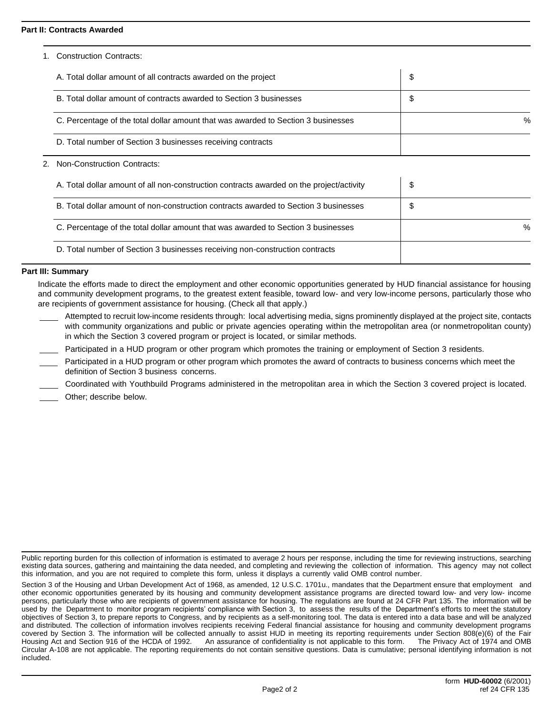## **Part II: Contracts Awarded**

1. Construction Contracts:

| A. Total dollar amount of all contracts awarded on the project                    | \$   |
|-----------------------------------------------------------------------------------|------|
| B. Total dollar amount of contracts awarded to Section 3 businesses               | \$   |
| C. Percentage of the total dollar amount that was awarded to Section 3 businesses | $\%$ |
| D. Total number of Section 3 businesses receiving contracts                       |      |

# 2. Non-Construction Contracts:

| A. Total dollar amount of all non-construction contracts awarded on the project/activity | \$   |
|------------------------------------------------------------------------------------------|------|
| B. Total dollar amount of non-construction contracts awarded to Section 3 businesses     | \$   |
| C. Percentage of the total dollar amount that was awarded to Section 3 businesses        | $\%$ |
| D. Total number of Section 3 businesses receiving non-construction contracts             |      |

## **Part III: Summary**

Indicate the efforts made to direct the employment and other economic opportunities generated by HUD financial assistance for housing and community development programs, to the greatest extent feasible, toward low- and very low-income persons, particularly those who are recipients of government assistance for housing. (Check all that apply.)

- Attempted to recruit low-income residents through: local advertising media, signs prominently displayed at the project site, contacts with community organizations and public or private agencies operating within the metropolitan area (or nonmetropolitan county) in which the Section 3 covered program or project is located, or similar methods.
- Participated in a HUD program or other program which promotes the training or employment of Section 3 residents.
- Participated in a HUD program or other program which promotes the award of contracts to business concerns which meet the definition of Section 3 business concerns.
	- Coordinated with Youthbuild Programs administered in the metropolitan area in which the Section 3 covered project is located.
- Other; describe below.

Public reporting burden for this collection of information is estimated to average 2 hours per response, including the time for reviewing instructions, searching existing data sources, gathering and maintaining the data needed, and completing and reviewing the collection of information. This agency may not collect this information, and you are not required to complete this form, unless it displays a currently valid OMB control number.

Section 3 of the Housing and Urban Development Act of 1968, as amended, 12 U.S.C. 1701u., mandates that the Department ensure that employment and other economic opportunities generated by its housing and community development assistance programs are directed toward low- and very low- income persons, particularly those who are recipients of government assistance for housing. The regulations are found at 24 CFR Part 135. The information will be used by the Department to monitor program recipients' compliance with Section 3, to assess the results of the Department's efforts to meet the statutory objectives of Section 3, to prepare reports to Congress, and by recipients as a self-monitoring tool. The data is entered into a data base and will be analyzed and distributed. The collection of information involves recipients receiving Federal financial assistance for housing and community development programs covered by Section 3. The information will be collected annually to assist HUD in meeting its reporting requirements under Section 808(e)(6) of the Fair Housing Act and Section 916 of the HCDA of 1992. An assurance of confidentiality is not applicable to this form. The Privacy Act of 1974 and OMB Circular A-108 are not applicable. The reporting requirements do not contain sensitive questions. Data is cumulative; personal identifying information is not included.